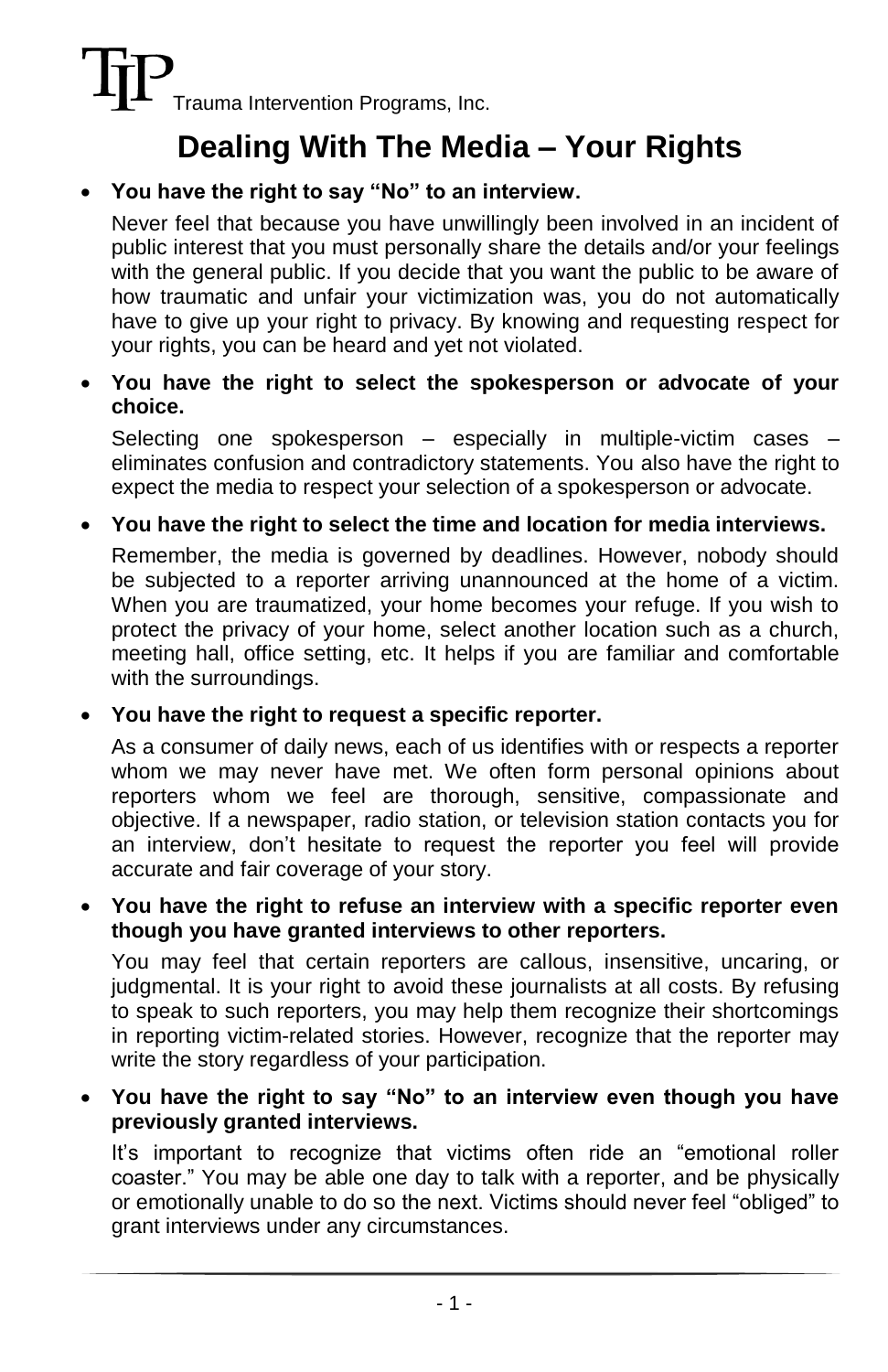# Trauma Intervention Programs, Inc.

# **Dealing With The Media – Your Rights**

### **You have the right to say "No" to an interview.**

Never feel that because you have unwillingly been involved in an incident of public interest that you must personally share the details and/or your feelings with the general public. If you decide that you want the public to be aware of how traumatic and unfair your victimization was, you do not automatically have to give up your right to privacy. By knowing and requesting respect for your rights, you can be heard and yet not violated.

#### **You have the right to select the spokesperson or advocate of your choice.**

Selecting one spokesperson – especially in multiple-victim cases – eliminates confusion and contradictory statements. You also have the right to expect the media to respect your selection of a spokesperson or advocate.

#### **You have the right to select the time and location for media interviews.**

Remember, the media is governed by deadlines. However, nobody should be subjected to a reporter arriving unannounced at the home of a victim. When you are traumatized, your home becomes your refuge. If you wish to protect the privacy of your home, select another location such as a church, meeting hall, office setting, etc. It helps if you are familiar and comfortable with the surroundings.

#### **You have the right to request a specific reporter.**

As a consumer of daily news, each of us identifies with or respects a reporter whom we may never have met. We often form personal opinions about reporters whom we feel are thorough, sensitive, compassionate and objective. If a newspaper, radio station, or television station contacts you for an interview, don't hesitate to request the reporter you feel will provide accurate and fair coverage of your story.

#### **You have the right to refuse an interview with a specific reporter even though you have granted interviews to other reporters.**

You may feel that certain reporters are callous, insensitive, uncaring, or judgmental. It is your right to avoid these journalists at all costs. By refusing to speak to such reporters, you may help them recognize their shortcomings in reporting victim-related stories. However, recognize that the reporter may write the story regardless of your participation.

#### **You have the right to say "No" to an interview even though you have previously granted interviews.**

It's important to recognize that victims often ride an "emotional roller coaster." You may be able one day to talk with a reporter, and be physically or emotionally unable to do so the next. Victims should never feel "obliged" to grant interviews under any circumstances.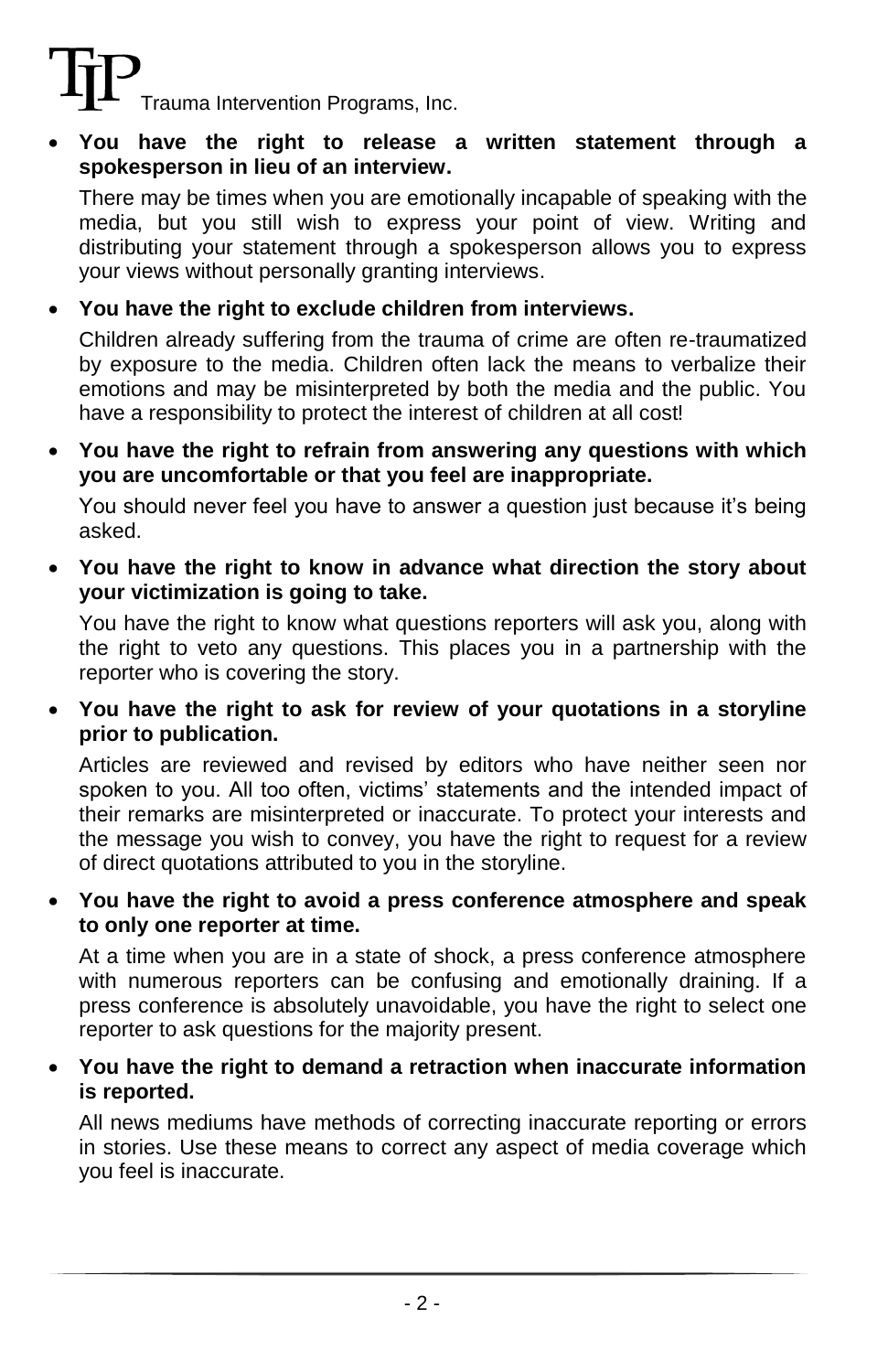

#### **You have the right to release a written statement through a spokesperson in lieu of an interview.**

There may be times when you are emotionally incapable of speaking with the media, but you still wish to express your point of view. Writing and distributing your statement through a spokesperson allows you to express your views without personally granting interviews.

#### **You have the right to exclude children from interviews.**

Children already suffering from the trauma of crime are often re-traumatized by exposure to the media. Children often lack the means to verbalize their emotions and may be misinterpreted by both the media and the public. You have a responsibility to protect the interest of children at all cost!

 **You have the right to refrain from answering any questions with which you are uncomfortable or that you feel are inappropriate.** 

You should never feel you have to answer a question just because it's being asked.

 **You have the right to know in advance what direction the story about your victimization is going to take.** 

You have the right to know what questions reporters will ask you, along with the right to veto any questions. This places you in a partnership with the reporter who is covering the story.

 **You have the right to ask for review of your quotations in a storyline prior to publication.** 

Articles are reviewed and revised by editors who have neither seen nor spoken to you. All too often, victims' statements and the intended impact of their remarks are misinterpreted or inaccurate. To protect your interests and the message you wish to convey, you have the right to request for a review of direct quotations attributed to you in the storyline.

 **You have the right to avoid a press conference atmosphere and speak to only one reporter at time.** 

At a time when you are in a state of shock, a press conference atmosphere with numerous reporters can be confusing and emotionally draining. If a press conference is absolutely unavoidable, you have the right to select one reporter to ask questions for the majority present.

 **You have the right to demand a retraction when inaccurate information is reported.** 

All news mediums have methods of correcting inaccurate reporting or errors in stories. Use these means to correct any aspect of media coverage which you feel is inaccurate.